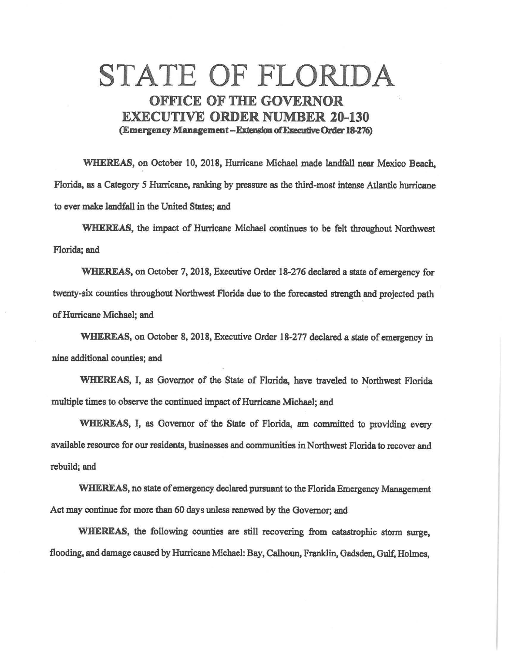## STATE OF FLORIDA OFFICE OF THE GOVERNOR EXECUTIVE **ORDER NUMBER** 20-130 (Emergency Management - Extension of Executive Order 18-276)

**WHEREAS,** on October 10, 2018, Hurricane Michael made landfall near Mexico Beach, Florida, as a Category *S* Hurricane, ranking by pressure as the third-most intense Atlantic hurricane to ever make landfall in the United States; and

**WHEREAS,** the impact of Hurricane Michael continues to be felt throughout Northwest Florida; and

**WHEREAS,** on October 7, 2018, Executive Order 18-276 declared a state of emergency for twenty-six counties throughout Northwest Florida due to the forecasted strength and projected path of Hurricane Michael; and

**WHEREAS,** on October 8, 2018, Executive Order 18-277 declared a state of emergency in nine additional counties; and

WHEREAS, I, as Governor of the State of Florida, have traveled to Northwest Florida multiple times to observe the continued impact of Hurricane Michael; and

WHEREAS, I, as Governor of the State of Florida, am committed to providing every available resource for our residents, businesses and communities in Northwest Florida to recover and rebuild; and

**WHEREAS,** no state of emergency declared pursuant to the Florida Emergency Management Act may continue for more than 60 days unless renewed by the Governor; and

**WHEREAS,** the following counties are still recovering from catastrophic storm surge, flooding, and damage caused by Hurricane Michael: Bay, Calhoun, Franklin, Gadsden, Gulf, Holmes,